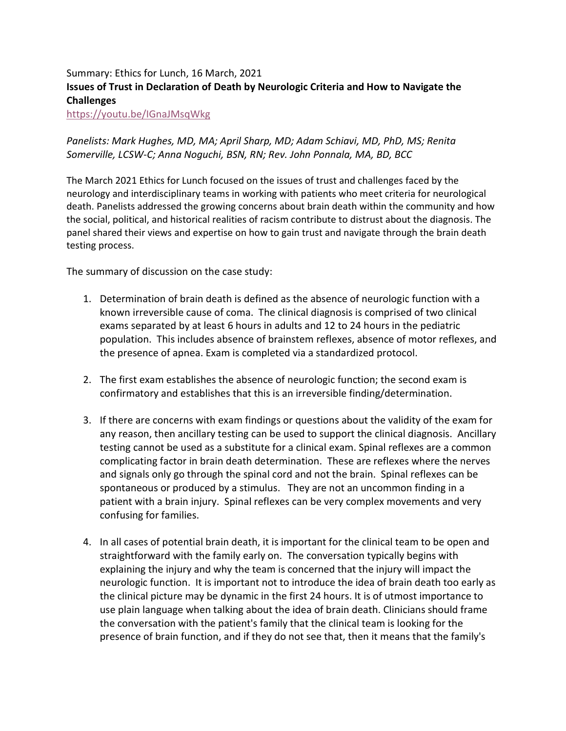## Summary: Ethics for Lunch, 16 March, 2021 Issues of Trust in Declaration of Death by Neurologic Criteria and How to Navigate the Challenges

https://youtu.be/IGnaJMsqWkg

## Panelists: Mark Hughes, MD, MA; April Sharp, MD; Adam Schiavi, MD, PhD, MS; Renita Somerville, LCSW-C; Anna Noguchi, BSN, RN; Rev. John Ponnala, MA, BD, BCC

The March 2021 Ethics for Lunch focused on the issues of trust and challenges faced by the neurology and interdisciplinary teams in working with patients who meet criteria for neurological death. Panelists addressed the growing concerns about brain death within the community and how the social, political, and historical realities of racism contribute to distrust about the diagnosis. The panel shared their views and expertise on how to gain trust and navigate through the brain death testing process.

The summary of discussion on the case study:

- 1. Determination of brain death is defined as the absence of neurologic function with a known irreversible cause of coma. The clinical diagnosis is comprised of two clinical exams separated by at least 6 hours in adults and 12 to 24 hours in the pediatric population. This includes absence of brainstem reflexes, absence of motor reflexes, and the presence of apnea. Exam is completed via a standardized protocol.
- 2. The first exam establishes the absence of neurologic function; the second exam is confirmatory and establishes that this is an irreversible finding/determination.
- 3. If there are concerns with exam findings or questions about the validity of the exam for any reason, then ancillary testing can be used to support the clinical diagnosis. Ancillary testing cannot be used as a substitute for a clinical exam. Spinal reflexes are a common complicating factor in brain death determination. These are reflexes where the nerves and signals only go through the spinal cord and not the brain. Spinal reflexes can be spontaneous or produced by a stimulus. They are not an uncommon finding in a patient with a brain injury. Spinal reflexes can be very complex movements and very confusing for families.
- 4. In all cases of potential brain death, it is important for the clinical team to be open and straightforward with the family early on. The conversation typically begins with explaining the injury and why the team is concerned that the injury will impact the neurologic function. It is important not to introduce the idea of brain death too early as the clinical picture may be dynamic in the first 24 hours. It is of utmost importance to use plain language when talking about the idea of brain death. Clinicians should frame the conversation with the patient's family that the clinical team is looking for the presence of brain function, and if they do not see that, then it means that the family's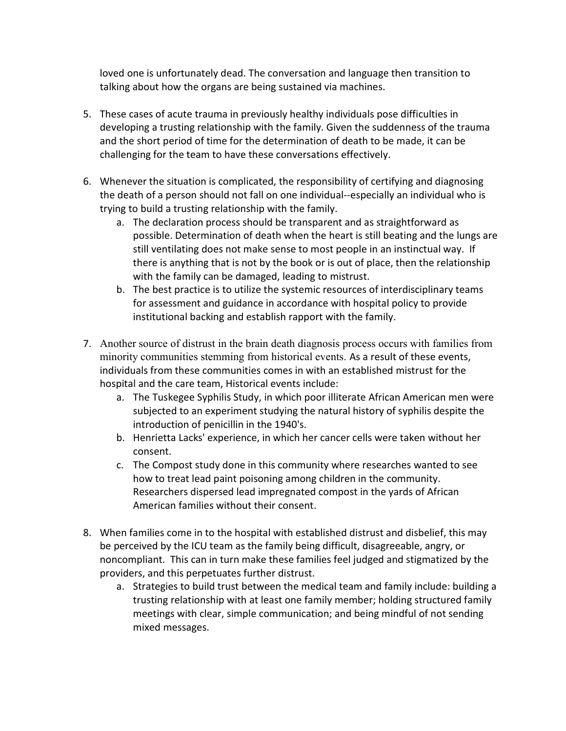loved one is unfortunately dead. The conversation and language then transition to talking about how the organs are being sustained via machines.

- 5. These cases of acute trauma in previously healthy individuals pose difficulties in developing a trusting relationship with the family. Given the suddenness of the trauma and the short period of time for the determination of death to be made, it can be challenging for the team to have these conversations effectively.
- 6. Whenever the situation is complicated, the responsibility of certifying and diagnosing the death of a person should not fall on one individual--especially an individual who is trying to build a trusting relationship with the family.
	- a. The declaration process should be transparent and as straightforward as possible. Determination of death when the heart is still beating and the lungs are still ventilating does not make sense to most people in an instinctual way. If there is anything that is not by the book or is out of place, then the relationship with the family can be damaged, leading to mistrust.
	- b. The best practice is to utilize the systemic resources of interdisciplinary teams for assessment and guidance in accordance with hospital policy to provide institutional backing and establish rapport with the family.
- 7. Another source of distrust in the brain death diagnosis process occurs with families from minority communities stemming from historical events. As a result of these events, individuals from these communities comes in with an established mistrust for the hospital and the care team, Historical events include:
	- a. The Tuskegee Syphilis Study, in which poor illiterate African American men were subjected to an experiment studying the natural history of syphilis despite the introduction of penicillin in the 1940's.
	- b. Henrietta Lacks' experience, in which her cancer cells were taken without her consent.
	- c. The Compost study done in this community where researches wanted to see how to treat lead paint poisoning among children in the community. Researchers dispersed lead impregnated compost in the yards of African American families without their consent.
- 8. When families come in to the hospital with established distrust and disbelief, this may be perceived by the ICU team as the family being difficult, disagreeable, angry, or noncompliant. This can in turn make these families feel judged and stigmatized by the providers, and this perpetuates further distrust.
	- a. Strategies to build trust between the medical team and family include: building a trusting relationship with at least one family member; holding structured family meetings with clear, simple communication; and being mindful of not sending mixed messages.